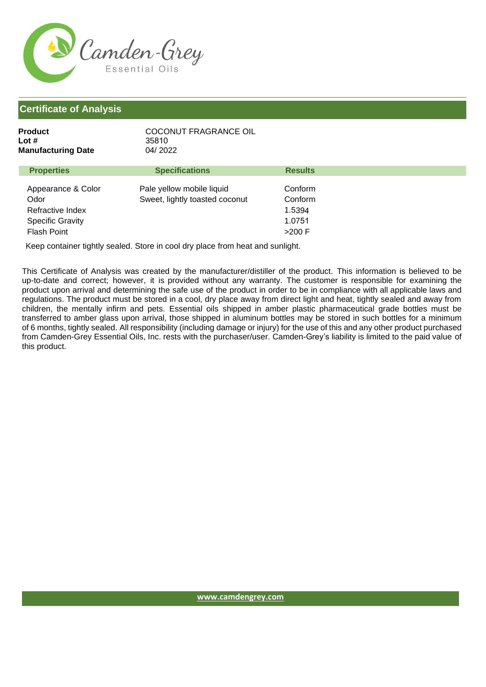

| Product                   | COCONUT FRAGRANCE OIL |
|---------------------------|-----------------------|
| Lot #                     | 35810                 |
| <b>Manufacturing Date</b> | 04/2022               |
|                           |                       |

| <b>Properties</b>                                                                               | <b>Specifications</b>                                       | <b>Results</b>                                     |  |
|-------------------------------------------------------------------------------------------------|-------------------------------------------------------------|----------------------------------------------------|--|
| Appearance & Color<br>Odor<br>Refractive Index<br><b>Specific Gravity</b><br><b>Flash Point</b> | Pale yellow mobile liquid<br>Sweet, lightly toasted coconut | Conform<br>Conform<br>1.5394<br>1.0751<br>$>200$ F |  |
|                                                                                                 |                                                             |                                                    |  |

Keep container tightly sealed. Store in cool dry place from heat and sunlight.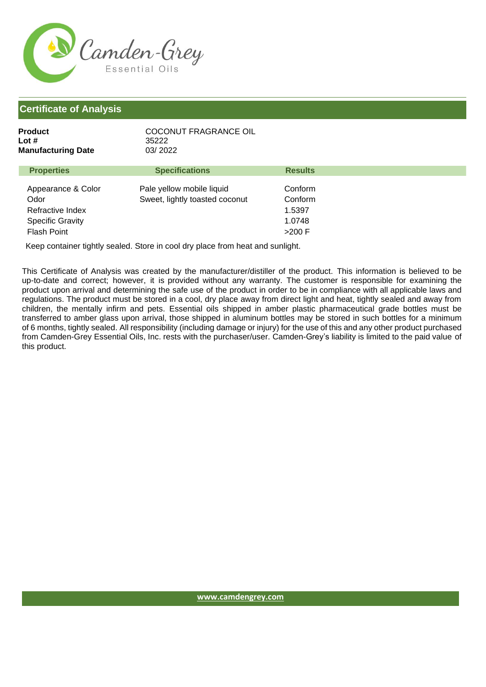

| Product                   | COCONUT FRAGRANCE OIL |
|---------------------------|-----------------------|
| Lot #                     | 35222                 |
| <b>Manufacturing Date</b> | 03/2022               |
|                           |                       |

| <b>Properties</b>                                                                               | <b>Specifications</b>                                       | <b>Results</b>                                     |  |
|-------------------------------------------------------------------------------------------------|-------------------------------------------------------------|----------------------------------------------------|--|
| Appearance & Color<br>Odor<br>Refractive Index<br><b>Specific Gravity</b><br><b>Flash Point</b> | Pale yellow mobile liquid<br>Sweet, lightly toasted coconut | Conform<br>Conform<br>1.5397<br>1.0748<br>$>200$ F |  |
|                                                                                                 |                                                             |                                                    |  |

Keep container tightly sealed. Store in cool dry place from heat and sunlight.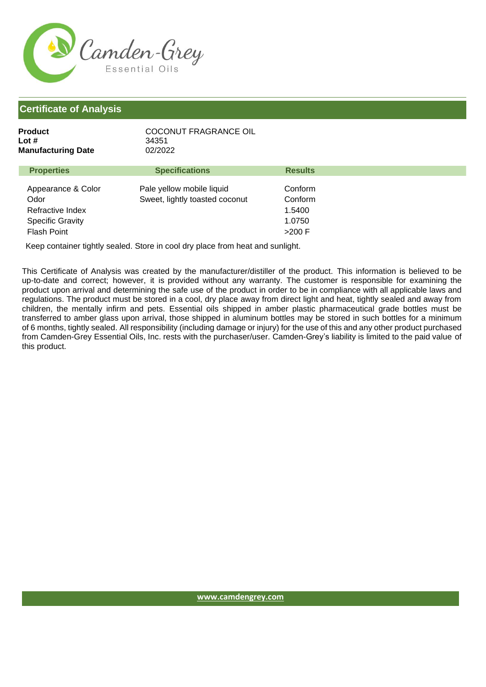

| Product                   | COCONUT FRAGRANCE OIL |
|---------------------------|-----------------------|
| Lot #                     | 34351                 |
| <b>Manufacturing Date</b> | 02/2022               |
|                           |                       |

| <b>Properties</b>                                                                               | <b>Specifications</b>                                       | <b>Results</b>                                     |  |
|-------------------------------------------------------------------------------------------------|-------------------------------------------------------------|----------------------------------------------------|--|
| Appearance & Color<br>Odor<br>Refractive Index<br><b>Specific Gravity</b><br><b>Flash Point</b> | Pale yellow mobile liquid<br>Sweet, lightly toasted coconut | Conform<br>Conform<br>1.5400<br>1.0750<br>$>200$ F |  |
|                                                                                                 |                                                             |                                                    |  |

Keep container tightly sealed. Store in cool dry place from heat and sunlight.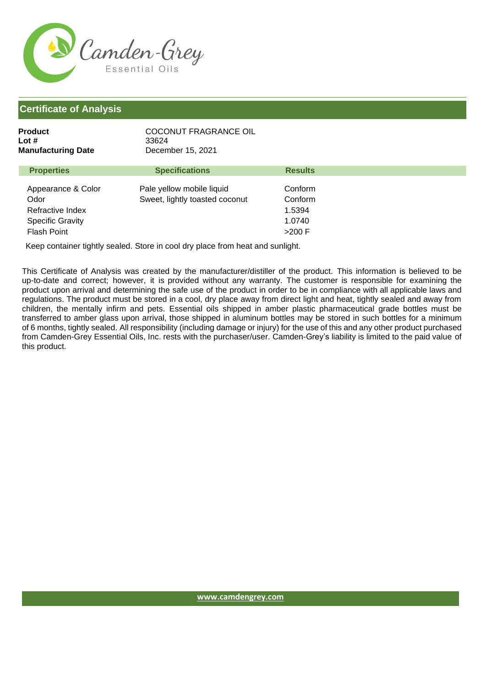

Flash Point

| Product<br>Lot #<br><b>Manufacturing Date</b>                             | <b>COCONUT FRAGRANCE OIL</b><br>33624<br>December 15, 2021  |                                        |
|---------------------------------------------------------------------------|-------------------------------------------------------------|----------------------------------------|
| <b>Properties</b>                                                         | <b>Specifications</b>                                       | <b>Results</b>                         |
| Appearance & Color<br>Odor<br>Refractive Index<br><b>Specific Gravity</b> | Pale yellow mobile liquid<br>Sweet, lightly toasted coconut | Conform<br>Conform<br>1.5394<br>1.0740 |

Keep container tightly sealed. Store in cool dry place from heat and sunlight.

This Certificate of Analysis was created by the manufacturer/distiller of the product. This information is believed to be up-to-date and correct; however, it is provided without any warranty. The customer is responsible for examining the product upon arrival and determining the safe use of the product in order to be in compliance with all applicable laws and regulations. The product must be stored in a cool, dry place away from direct light and heat, tightly sealed and away from children, the mentally infirm and pets. Essential oils shipped in amber plastic pharmaceutical grade bottles must be transferred to amber glass upon arrival, those shipped in aluminum bottles may be stored in such bottles for a minimum of 6 months, tightly sealed. All responsibility (including damage or injury) for the use of this and any other product purchased from Camden-Grey Essential Oils, Inc. rests with the purchaser/user. Camden-Grey's liability is limited to the paid value of this product.

>200 F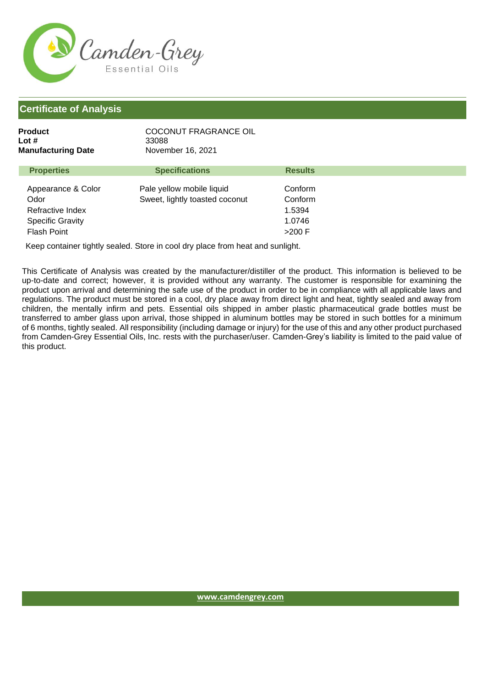

| Product<br>Lot #<br><b>Manufacturing Date</b>                             | COCONUT FRAGRANCE OIL<br>33088<br>November 16, 2021         |                                        |
|---------------------------------------------------------------------------|-------------------------------------------------------------|----------------------------------------|
| <b>Properties</b>                                                         | <b>Specifications</b>                                       | <b>Results</b>                         |
| Appearance & Color<br>Odor<br>Refractive Index<br><b>Specific Gravity</b> | Pale yellow mobile liquid<br>Sweet, lightly toasted coconut | Conform<br>Conform<br>1.5394<br>1.0746 |

Flash Point

Keep container tightly sealed. Store in cool dry place from heat and sunlight.

This Certificate of Analysis was created by the manufacturer/distiller of the product. This information is believed to be up-to-date and correct; however, it is provided without any warranty. The customer is responsible for examining the product upon arrival and determining the safe use of the product in order to be in compliance with all applicable laws and regulations. The product must be stored in a cool, dry place away from direct light and heat, tightly sealed and away from children, the mentally infirm and pets. Essential oils shipped in amber plastic pharmaceutical grade bottles must be transferred to amber glass upon arrival, those shipped in aluminum bottles may be stored in such bottles for a minimum of 6 months, tightly sealed. All responsibility (including damage or injury) for the use of this and any other product purchased from Camden-Grey Essential Oils, Inc. rests with the purchaser/user. Camden-Grey's liability is limited to the paid value of this product.

>200 F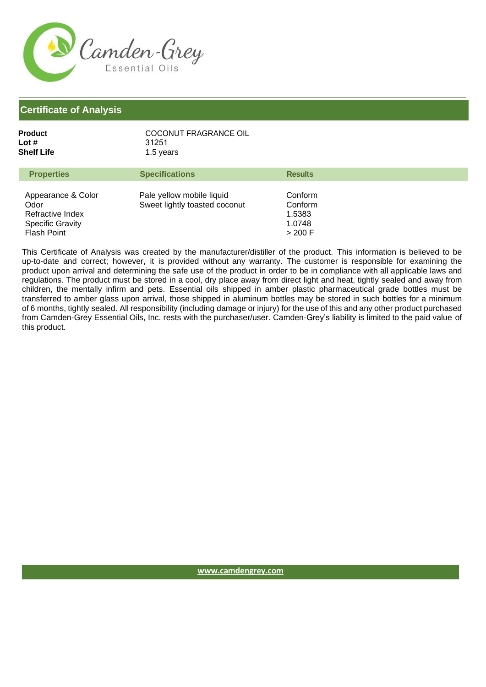

| COCONUT FRAGRANCE OIL |
|-----------------------|
| 31251                 |
| 1.5 years             |
|                       |

| <b>Properties</b>                                                                               | <b>Specifications</b>                                      | <b>Results</b>                                    |
|-------------------------------------------------------------------------------------------------|------------------------------------------------------------|---------------------------------------------------|
| Appearance & Color<br>Odor<br>Refractive Index<br><b>Specific Gravity</b><br><b>Flash Point</b> | Pale yellow mobile liquid<br>Sweet lightly toasted coconut | Conform<br>Conform<br>1.5383<br>1.0748<br>> 200 F |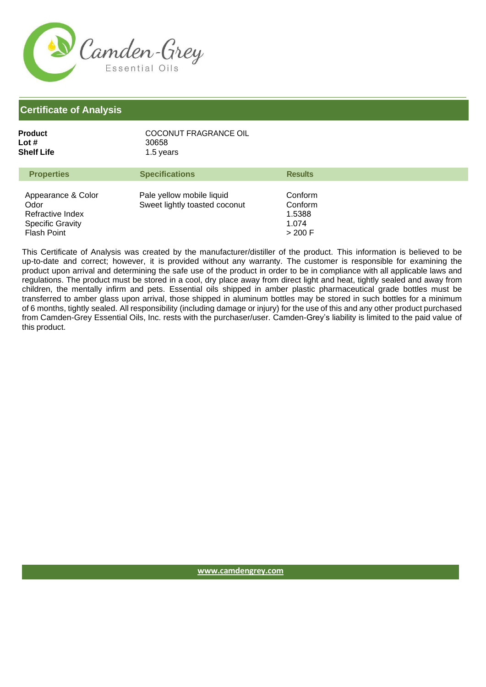

| COCONUT FRAGRANCE OIL |
|-----------------------|
| 30658                 |
| 1.5 years             |
|                       |

| <b>Properties</b>                                                                               | <b>Specifications</b>                                      | <b>Results</b>                                     |
|-------------------------------------------------------------------------------------------------|------------------------------------------------------------|----------------------------------------------------|
| Appearance & Color<br>Odor<br>Refractive Index<br><b>Specific Gravity</b><br><b>Flash Point</b> | Pale yellow mobile liquid<br>Sweet lightly toasted coconut | Conform<br>Conform<br>1.5388<br>1.074<br>$>$ 200 F |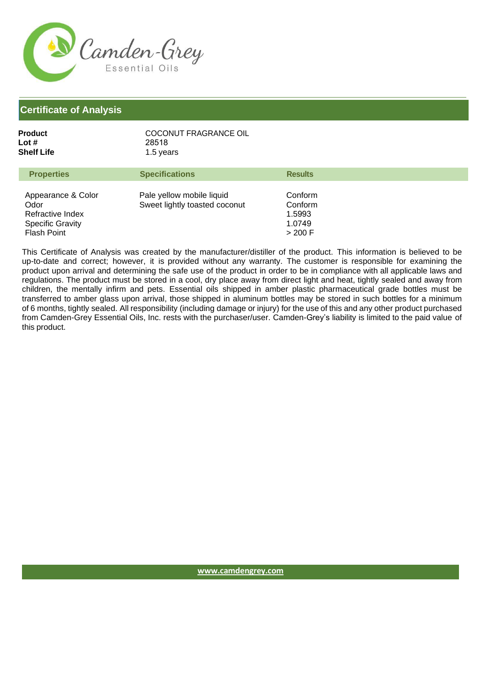

| COCONUT FRAGRANCE OIL |
|-----------------------|
| 28518                 |
| 1.5 years             |
|                       |

| <b>Properties</b>                                                                               | <b>Specifications</b>                                      | <b>Results</b>                                    |
|-------------------------------------------------------------------------------------------------|------------------------------------------------------------|---------------------------------------------------|
| Appearance & Color<br>Odor<br>Refractive Index<br><b>Specific Gravity</b><br><b>Flash Point</b> | Pale yellow mobile liquid<br>Sweet lightly toasted coconut | Conform<br>Conform<br>1.5993<br>1.0749<br>> 200 F |